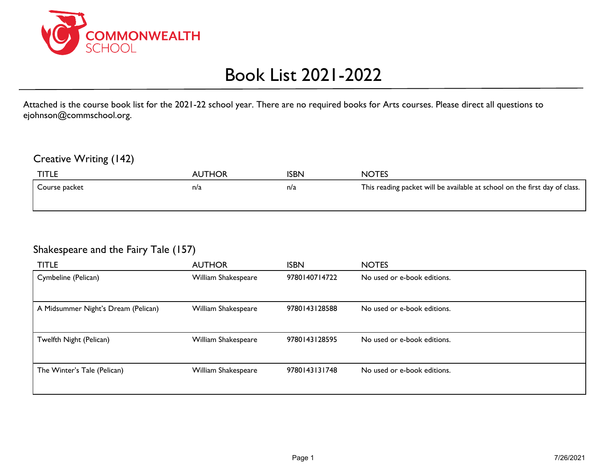

# Book List 2021-2022

Attached is the course book list for the 2021-22 school year. There are no required books for Arts courses. Please direct all questions to ejohnson@commschool.org.

#### Creative Writing (142)

| <b>TITLE</b>  | <b>AUTHOR</b> | ISBN | <b>NOTES</b>                                                               |
|---------------|---------------|------|----------------------------------------------------------------------------|
| Course packet | n/a           | n/a  | This reading packet will be available at school on the first day of class. |
|               |               |      |                                                                            |

#### Shakespeare and the Fairy Tale (157)

| <b>TITLE</b>                        | <b>AUTHOR</b>       | <b>ISBN</b>   | <b>NOTES</b>                |
|-------------------------------------|---------------------|---------------|-----------------------------|
| Cymbeline (Pelican)                 | William Shakespeare | 9780140714722 | No used or e-book editions. |
|                                     |                     |               |                             |
| A Midsummer Night's Dream (Pelican) | William Shakespeare | 9780143128588 | No used or e-book editions. |
|                                     |                     |               |                             |
| Twelfth Night (Pelican)             | William Shakespeare | 9780143128595 | No used or e-book editions. |
|                                     |                     |               |                             |
| The Winter's Tale (Pelican)         | William Shakespeare | 9780143131748 | No used or e-book editions. |
|                                     |                     |               |                             |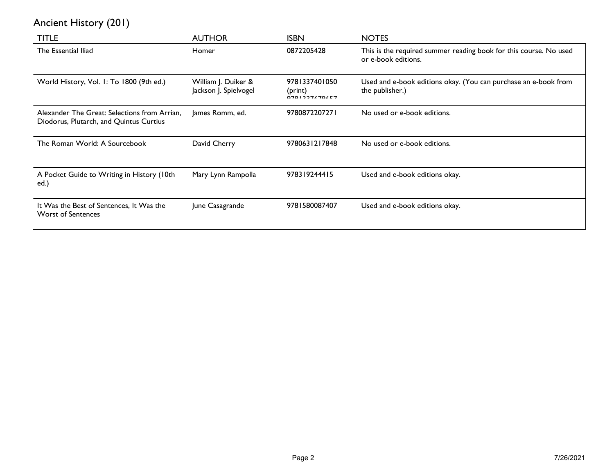# Ancient History (201)

| <b>TITLE</b>                                                                            | <b>AUTHOR</b>                                | <b>ISBN</b>                                 | <b>NOTES</b>                                                                             |
|-----------------------------------------------------------------------------------------|----------------------------------------------|---------------------------------------------|------------------------------------------------------------------------------------------|
| The Essential Iliad                                                                     | Homer                                        | 0872205428                                  | This is the required summer reading book for this course. No used<br>or e-book editions. |
| World History, Vol. 1: To 1800 (9th ed.)                                                | William J. Duiker &<br>Jackson J. Spielvogel | 9781337401050<br>(print)<br>$0701227670657$ | Used and e-book editions okay. (You can purchase an e-book from<br>the publisher.)       |
| Alexander The Great: Selections from Arrian.<br>Diodorus, Plutarch, and Quintus Curtius | James Romm, ed.                              | 9780872207271                               | No used or e-book editions.                                                              |
| The Roman World: A Sourcebook                                                           | David Cherry                                 | 9780631217848                               | No used or e-book editions.                                                              |
| A Pocket Guide to Writing in History (10th<br>ed.)                                      | Mary Lynn Rampolla                           | 978319244415                                | Used and e-book editions okay.                                                           |
| It Was the Best of Sentences, It Was the<br><b>Worst of Sentences</b>                   | June Casagrande                              | 9781580087407                               | Used and e-book editions okay.                                                           |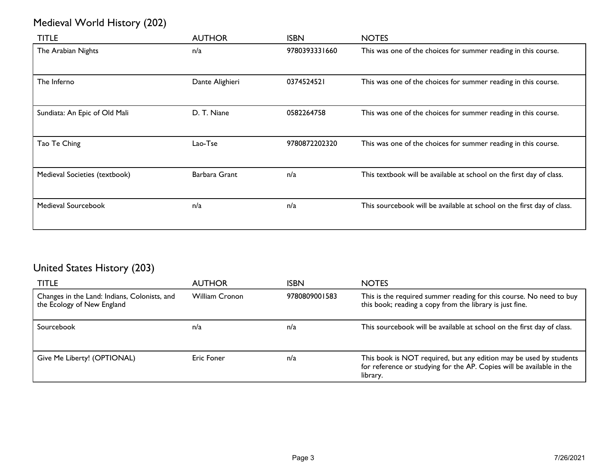# Medieval World History (202)

| <b>TITLE</b>                  | <b>AUTHOR</b>   | <b>ISBN</b>   | <b>NOTES</b>                                                           |
|-------------------------------|-----------------|---------------|------------------------------------------------------------------------|
| The Arabian Nights            | n/a             | 9780393331660 | This was one of the choices for summer reading in this course.         |
| The Inferno                   | Dante Alighieri | 0374524521    | This was one of the choices for summer reading in this course.         |
| Sundiata: An Epic of Old Mali | D. T. Niane     | 0582264758    | This was one of the choices for summer reading in this course.         |
| Tao Te Ching                  | Lao-Tse         | 9780872202320 | This was one of the choices for summer reading in this course.         |
| Medieval Societies (textbook) | Barbara Grant   | n/a           | This textbook will be available at school on the first day of class.   |
| Medieval Sourcebook           | n/a             | n/a           | This sourcebook will be available at school on the first day of class. |

# United States History (203)

| TITLE                                                                      | <b>AUTHOR</b>         | <b>ISBN</b>   | <b>NOTES</b>                                                                                                                                            |
|----------------------------------------------------------------------------|-----------------------|---------------|---------------------------------------------------------------------------------------------------------------------------------------------------------|
| Changes in the Land: Indians, Colonists, and<br>the Ecology of New England | <b>William Cronon</b> | 9780809001583 | This is the required summer reading for this course. No need to buy<br>this book; reading a copy from the library is just fine.                         |
| Sourcebook                                                                 | n/a                   | n/a           | This sourcebook will be available at school on the first day of class.                                                                                  |
| Give Me Liberty! (OPTIONAL)                                                | Eric Foner            | n/a           | This book is NOT required, but any edition may be used by students<br>for reference or studying for the AP. Copies will be available in the<br>library. |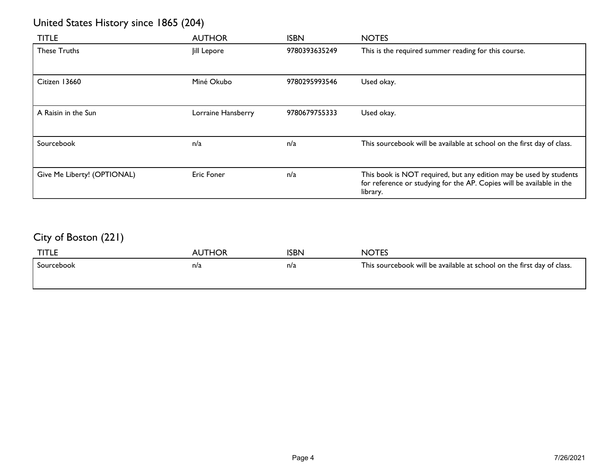# United States History since 1865 (204)

| <b>TITLE</b>                | <b>AUTHOR</b>      | <b>ISBN</b>   | <b>NOTES</b>                                                                                                                                            |
|-----------------------------|--------------------|---------------|---------------------------------------------------------------------------------------------------------------------------------------------------------|
| <b>These Truths</b>         | Jill Lepore        | 9780393635249 | This is the required summer reading for this course.                                                                                                    |
| Citizen 13660               | Miné Okubo         | 9780295993546 | Used okay.                                                                                                                                              |
| A Raisin in the Sun         | Lorraine Hansberry | 9780679755333 | Used okay.                                                                                                                                              |
| Sourcebook                  | n/a                | n/a           | This sourcebook will be available at school on the first day of class.                                                                                  |
| Give Me Liberty! (OPTIONAL) | Eric Foner         | n/a           | This book is NOT required, but any edition may be used by students<br>for reference or studying for the AP. Copies will be available in the<br>library. |

# City of Boston (221)

| <b>TITLE</b> | <b>AUTHOR</b> | ISBN | <b>NOTES</b>                                                           |
|--------------|---------------|------|------------------------------------------------------------------------|
| Sourcebook   | n/a           | n/a  | This sourcebook will be available at school on the first day of class. |
|              |               |      |                                                                        |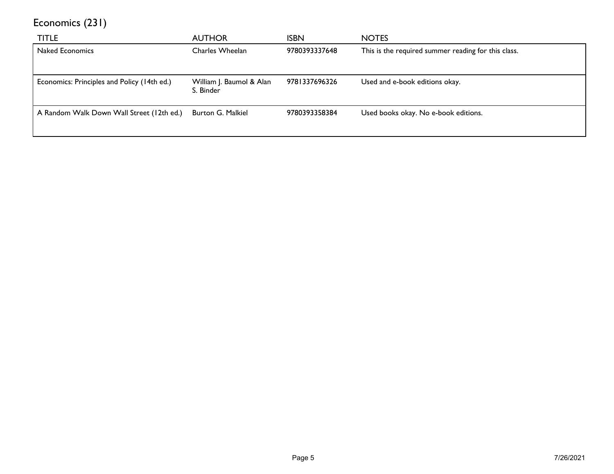Economics (231)

| <b>TITLE</b>                                | <b>AUTHOR</b>                         | <b>ISBN</b>   | <b>NOTES</b>                                        |
|---------------------------------------------|---------------------------------------|---------------|-----------------------------------------------------|
| <b>Naked Economics</b>                      | Charles Wheelan                       | 9780393337648 | This is the required summer reading for this class. |
|                                             |                                       |               |                                                     |
| Economics: Principles and Policy (14th ed.) | William J. Baumol & Alan<br>S. Binder | 9781337696326 | Used and e-book editions okay.                      |
| A Random Walk Down Wall Street (12th ed.)   | Burton G. Malkiel                     | 9780393358384 | Used books okay. No e-book editions.                |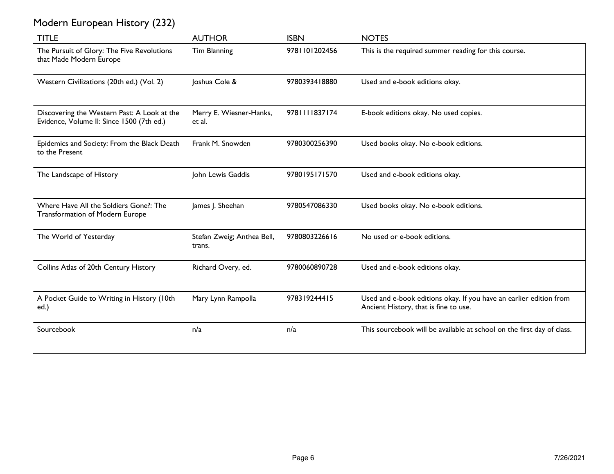| <b>TITLE</b>                                                                             | <b>AUTHOR</b>                        | <b>ISBN</b>   | <b>NOTES</b>                                                                                                |
|------------------------------------------------------------------------------------------|--------------------------------------|---------------|-------------------------------------------------------------------------------------------------------------|
| The Pursuit of Glory: The Five Revolutions<br>that Made Modern Europe                    | Tim Blanning                         | 9781101202456 | This is the required summer reading for this course.                                                        |
| Western Civilizations (20th ed.) (Vol. 2)                                                | Joshua Cole &                        | 9780393418880 | Used and e-book editions okay.                                                                              |
| Discovering the Western Past: A Look at the<br>Evidence, Volume II: Since 1500 (7th ed.) | Merry E. Wiesner-Hanks,<br>et al.    | 978111837174  | E-book editions okay. No used copies.                                                                       |
| Epidemics and Society: From the Black Death<br>to the Present                            | Frank M. Snowden                     | 9780300256390 | Used books okay. No e-book editions.                                                                        |
| The Landscape of History                                                                 | John Lewis Gaddis                    | 9780195171570 | Used and e-book editions okay.                                                                              |
| Where Have All the Soldiers Gone?: The<br>Transformation of Modern Europe                | James J. Sheehan                     | 9780547086330 | Used books okay. No e-book editions.                                                                        |
| The World of Yesterday                                                                   | Stefan Zweig; Anthea Bell,<br>trans. | 9780803226616 | No used or e-book editions.                                                                                 |
| Collins Atlas of 20th Century History                                                    | Richard Overy, ed.                   | 9780060890728 | Used and e-book editions okay.                                                                              |
| A Pocket Guide to Writing in History (10th<br>ed.)                                       | Mary Lynn Rampolla                   | 978319244415  | Used and e-book editions okay. If you have an earlier edition from<br>Ancient History, that is fine to use. |
| Sourcebook                                                                               | n/a                                  | n/a           | This sourcebook will be available at school on the first day of class.                                      |

# Modern European History (232)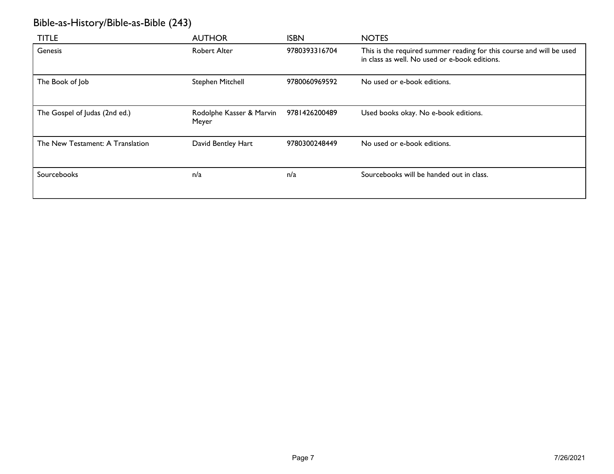# Bible-as-History/Bible-as-Bible (243)

| <b>TITLE</b>                     | <b>AUTHOR</b>                     | <b>ISBN</b>   | <b>NOTES</b>                                                                                                          |
|----------------------------------|-----------------------------------|---------------|-----------------------------------------------------------------------------------------------------------------------|
| Genesis                          | <b>Robert Alter</b>               | 9780393316704 | This is the required summer reading for this course and will be used<br>in class as well. No used or e-book editions. |
| The Book of Job                  | Stephen Mitchell                  | 9780060969592 | No used or e-book editions.                                                                                           |
| The Gospel of Judas (2nd ed.)    | Rodolphe Kasser & Marvin<br>Meyer | 9781426200489 | Used books okay. No e-book editions.                                                                                  |
| The New Testament: A Translation | David Bentley Hart                | 9780300248449 | No used or e-book editions.                                                                                           |
| Sourcebooks                      | n/a                               | n/a           | Sourcebooks will be handed out in class.                                                                              |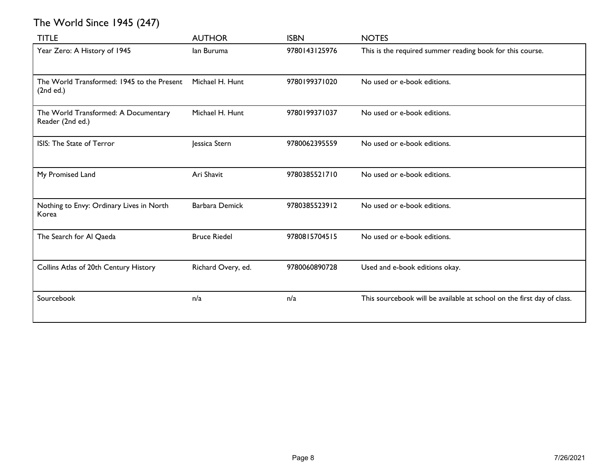# The World Since 1945 (247)

| <b>TITLE</b>                                             | <b>AUTHOR</b>         | <b>ISBN</b>   | <b>NOTES</b>                                                           |
|----------------------------------------------------------|-----------------------|---------------|------------------------------------------------------------------------|
| Year Zero: A History of 1945                             | lan Buruma            | 9780143125976 | This is the required summer reading book for this course.              |
| The World Transformed: 1945 to the Present<br>(2nd ed.)  | Michael H. Hunt       | 9780199371020 | No used or e-book editions.                                            |
| The World Transformed: A Documentary<br>Reader (2nd ed.) | Michael H. Hunt       | 9780199371037 | No used or e-book editions.                                            |
| ISIS: The State of Terror                                | Jessica Stern         | 9780062395559 | No used or e-book editions.                                            |
| My Promised Land                                         | Ari Shavit            | 9780385521710 | No used or e-book editions.                                            |
| Nothing to Envy: Ordinary Lives in North<br>Korea        | <b>Barbara Demick</b> | 9780385523912 | No used or e-book editions.                                            |
| The Search for Al Qaeda                                  | <b>Bruce Riedel</b>   | 9780815704515 | No used or e-book editions.                                            |
| Collins Atlas of 20th Century History                    | Richard Overy, ed.    | 9780060890728 | Used and e-book editions okay.                                         |
| Sourcebook                                               | n/a                   | n/a           | This sourcebook will be available at school on the first day of class. |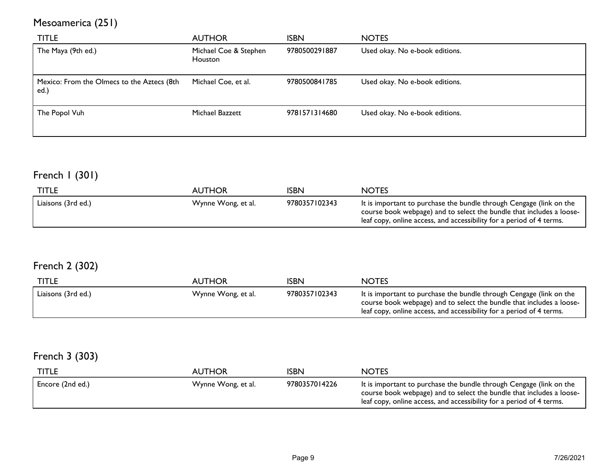# Mesoamerica (251)

| <b>TITLE</b>                                       | <b>AUTHOR</b>                    | <b>ISBN</b>   | <b>NOTES</b>                   |
|----------------------------------------------------|----------------------------------|---------------|--------------------------------|
| The Maya (9th ed.)                                 | Michael Coe & Stephen<br>Houston | 9780500291887 | Used okay. No e-book editions. |
| Mexico: From the Olmecs to the Aztecs (8th<br>ed.) | Michael Coe, et al.              | 9780500841785 | Used okay. No e-book editions. |
| The Popol Vuh                                      | Michael Bazzett                  | 9781571314680 | Used okay. No e-book editions. |

# French 1 (301)

| TITLE              | <b>AUTHOR</b>      | 'SBN          | <b>NOTES</b>                                                                                                                                                                                                        |
|--------------------|--------------------|---------------|---------------------------------------------------------------------------------------------------------------------------------------------------------------------------------------------------------------------|
| Liaisons (3rd ed.) | Wynne Wong, et al. | 9780357102343 | It is important to purchase the bundle through Cengage (link on the<br>course book webpage) and to select the bundle that includes a loose-<br>leaf copy, online access, and accessibility for a period of 4 terms. |

# French 2 (302)

| <b>TITLE</b>       | <b>AUTHOR</b>      | <b>ISBN</b>   | <b>NOTES</b>                                                                                                                                                                                                        |
|--------------------|--------------------|---------------|---------------------------------------------------------------------------------------------------------------------------------------------------------------------------------------------------------------------|
| Liaisons (3rd ed.) | Wynne Wong, et al. | 9780357102343 | It is important to purchase the bundle through Cengage (link on the<br>course book webpage) and to select the bundle that includes a loose-<br>leaf copy, online access, and accessibility for a period of 4 terms. |

# French 3 (303)

| <b>TITLE</b>     | AUTHOR             | <b>ISBN</b>   | <b>NOTES</b>                                                                                                                                                                                                        |
|------------------|--------------------|---------------|---------------------------------------------------------------------------------------------------------------------------------------------------------------------------------------------------------------------|
| Encore (2nd ed.) | Wynne Wong, et al. | 9780357014226 | It is important to purchase the bundle through Cengage (link on the<br>course book webpage) and to select the bundle that includes a loose-<br>leaf copy, online access, and accessibility for a period of 4 terms. |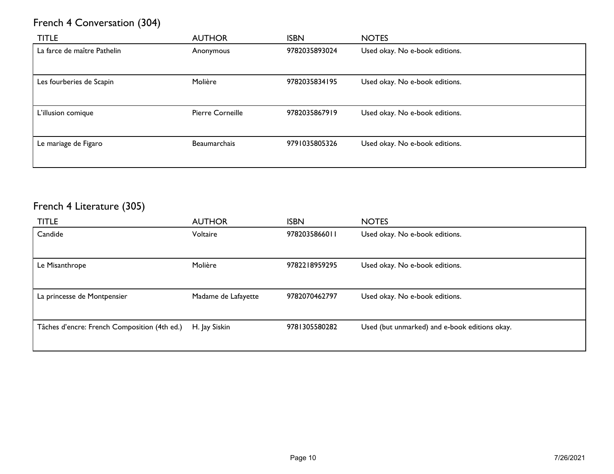# French 4 Conversation (304)

| <b>TITLE</b>                | <b>AUTHOR</b>    | <b>ISBN</b>   | <b>NOTES</b>                   |
|-----------------------------|------------------|---------------|--------------------------------|
| La farce de maître Pathelin | Anonymous        | 9782035893024 | Used okay. No e-book editions. |
| Les fourberies de Scapin    | Molière          | 9782035834195 | Used okay. No e-book editions. |
| L'illusion comique          | Pierre Corneille | 9782035867919 | Used okay. No e-book editions. |
| Le mariage de Figaro        | Beaumarchais     | 9791035805326 | Used okay. No e-book editions. |

# French 4 Literature (305)

| <b>TITLE</b>                                 | <b>AUTHOR</b>       | <b>ISBN</b>   | <b>NOTES</b>                                  |
|----------------------------------------------|---------------------|---------------|-----------------------------------------------|
| Candide                                      | Voltaire            | 9782035866011 | Used okay. No e-book editions.                |
|                                              |                     |               |                                               |
| Le Misanthrope                               | Molière             | 9782218959295 | Used okay. No e-book editions.                |
|                                              |                     |               |                                               |
| La princesse de Montpensier                  | Madame de Lafayette | 9782070462797 | Used okay. No e-book editions.                |
|                                              |                     |               |                                               |
| Tâches d'encre: French Composition (4th ed.) | H. Jay Siskin       | 9781305580282 | Used (but unmarked) and e-book editions okay. |
|                                              |                     |               |                                               |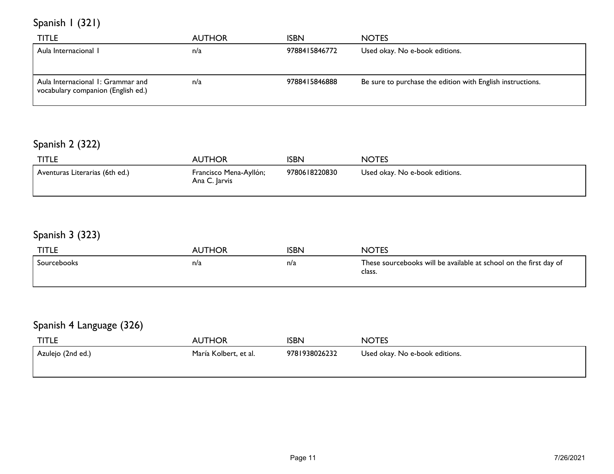Spanish 1 (321)

| <b>TITLE</b>                       | <b>AUTHOR</b> | <b>ISBN</b>   | <b>NOTES</b>                                               |
|------------------------------------|---------------|---------------|------------------------------------------------------------|
| Aula Internacional I               | n/a           | 9788415846772 | Used okay. No e-book editions.                             |
|                                    |               |               |                                                            |
| Aula Internacional I: Grammar and  | n/a           | 9788415846888 | Be sure to purchase the edition with English instructions. |
| vocabulary companion (English ed.) |               |               |                                                            |

# Spanish 2 (322)

| <b>TITLE</b>                   | <b>AUTHOR</b>                           | <b>ISBN</b>   | <b>NOTES</b>                   |
|--------------------------------|-----------------------------------------|---------------|--------------------------------|
| Aventuras Literarias (6th ed.) | Francisco Mena-Ayllón;<br>Ana C. Jarvis | 9780618220830 | Used okay. No e-book editions. |

# Spanish 3 (323)

| <b>TITLE</b> | <b>AUTHOR</b> | <b>ISBN</b> | <b>NOTES</b>                                                                |
|--------------|---------------|-------------|-----------------------------------------------------------------------------|
| Sourcebooks  | n/a           | n/a         | These sourcebooks will be available at school on the first day of<br>class. |

# Spanish 4 Language (326)

| <b>TITLE</b>       | <b>AUTHOR</b>         | <b>ISBN</b>   | <b>NOTES</b>                   |
|--------------------|-----------------------|---------------|--------------------------------|
| 'Azulejo (2nd ed.) | María Kolbert, et al. | 9781938026232 | Used okay. No e-book editions. |
|                    |                       |               |                                |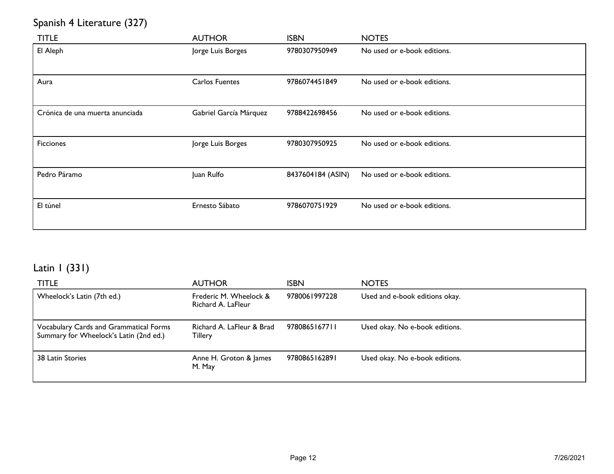# Spanish 4 Literature (327)

| <b>TITLE</b>                    | <b>AUTHOR</b>          | <b>ISBN</b>       | <b>NOTES</b>                |
|---------------------------------|------------------------|-------------------|-----------------------------|
| El Aleph                        | Jorge Luis Borges      | 9780307950949     | No used or e-book editions. |
| Aura                            | <b>Carlos Fuentes</b>  | 9786074451849     | No used or e-book editions. |
| Crónica de una muerta anunciada | Gabriel García Márquez | 9788422698456     | No used or e-book editions. |
| <b>Ficciones</b>                | Jorge Luis Borges      | 9780307950925     | No used or e-book editions. |
| Pedro Páramo                    | Juan Rulfo             | 8437604184 (ASIN) | No used or e-book editions. |
| El túnel                        | Ernesto Sábato         | 9786070751929     | No used or e-book editions. |

# Latin 1 (331)

| <b>TITLE</b>                                                                     | <b>AUTHOR</b>                                | <b>ISBN</b>   | <b>NOTES</b>                   |
|----------------------------------------------------------------------------------|----------------------------------------------|---------------|--------------------------------|
| Wheelock's Latin (7th ed.)                                                       | Frederic M. Wheelock &<br>Richard A. LaFleur | 9780061997228 | Used and e-book editions okay. |
| Vocabulary Cards and Grammatical Forms<br>Summary for Wheelock's Latin (2nd ed.) | Richard A. LaFleur & Brad<br><b>Tillery</b>  | 9780865167711 | Used okay. No e-book editions. |
| 38 Latin Stories                                                                 | Anne H. Groton & James<br>M. May             | 9780865162891 | Used okay. No e-book editions. |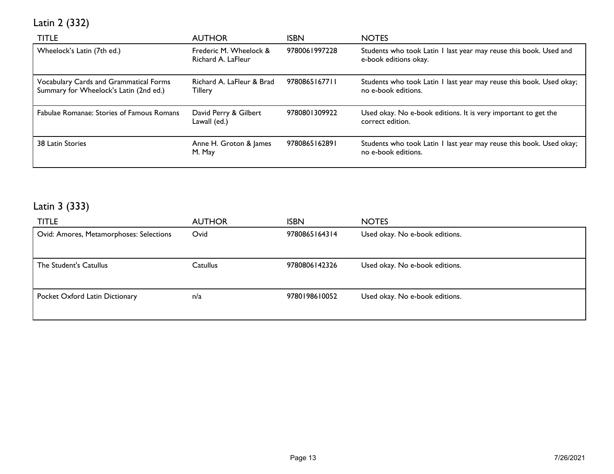# Latin 2 (332)

| <b>TITLE</b>                                                                     | <b>AUTHOR</b>                                | <b>ISBN</b>   | <b>NOTES</b>                                                                               |
|----------------------------------------------------------------------------------|----------------------------------------------|---------------|--------------------------------------------------------------------------------------------|
| Wheelock's Latin (7th ed.)                                                       | Frederic M. Wheelock &<br>Richard A. LaFleur | 9780061997228 | Students who took Latin I last year may reuse this book. Used and<br>e-book editions okay. |
| Vocabulary Cards and Grammatical Forms<br>Summary for Wheelock's Latin (2nd ed.) | Richard A. LaFleur & Brad<br><b>Tillery</b>  | 9780865167711 | Students who took Latin I last year may reuse this book. Used okay;<br>no e-book editions. |
| Fabulae Romanae: Stories of Famous Romans                                        | David Perry & Gilbert<br>Lawall (ed.)        | 9780801309922 | Used okay. No e-book editions. It is very important to get the<br>correct edition.         |
| 38 Latin Stories                                                                 | Anne H. Groton & James<br>M. May             | 9780865162891 | Students who took Latin I last year may reuse this book. Used okay;<br>no e-book editions. |

# Latin 3 (333)

| <b>TITLE</b>                            | <b>AUTHOR</b>   | <b>ISBN</b>   | <b>NOTES</b>                   |
|-----------------------------------------|-----------------|---------------|--------------------------------|
| Ovid: Amores, Metamorphoses: Selections | Ovid            | 9780865164314 | Used okay. No e-book editions. |
|                                         |                 |               |                                |
| The Student's Catullus                  | <b>Catullus</b> | 9780806142326 | Used okay. No e-book editions. |
|                                         |                 |               |                                |
| Pocket Oxford Latin Dictionary          | n/a             | 9780198610052 | Used okay. No e-book editions. |
|                                         |                 |               |                                |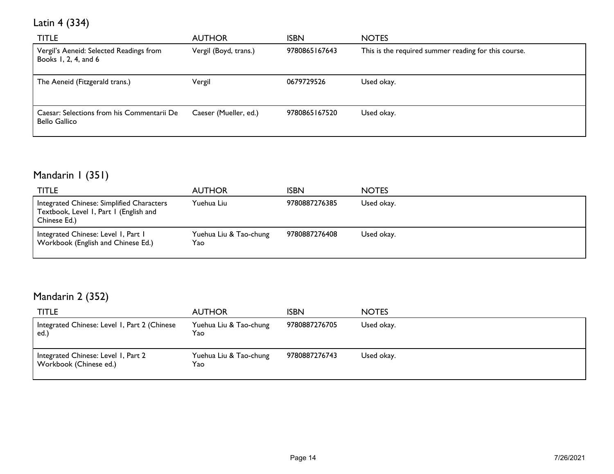Latin 4 (334)

| TITLE                                                           | <b>AUTHOR</b>         | <b>ISBN</b>   | <b>NOTES</b>                                         |
|-----------------------------------------------------------------|-----------------------|---------------|------------------------------------------------------|
| Vergil's Aeneid: Selected Readings from<br>Books 1, 2, 4, and 6 | Vergil (Boyd, trans.) | 9780865167643 | This is the required summer reading for this course. |
| The Aeneid (Fitzgerald trans.)                                  | Vergil                | 0679729526    | Used okay.                                           |
| Caesar: Selections from his Commentarii De<br>Bello Gallico     | Caeser (Mueller, ed.) | 9780865167520 | Used okay.                                           |

# Mandarin I (351)

| TITLE                                                                                               | <b>AUTHOR</b>                  | <b>ISBN</b>   | <b>NOTES</b> |
|-----------------------------------------------------------------------------------------------------|--------------------------------|---------------|--------------|
| Integrated Chinese: Simplified Characters<br>Textbook, Level 1, Part 1 (English and<br>Chinese Ed.) | Yuehua Liu                     | 9780887276385 | Used okay.   |
| Integrated Chinese: Level I, Part I<br>Workbook (English and Chinese Ed.)                           | Yuehua Liu & Tao-chung<br>Yao. | 9780887276408 | Used okay.   |

# Mandarin 2 (352)

| <b>TITLE</b>                                                  | <b>AUTHOR</b>                 | <b>ISBN</b>   | <b>NOTES</b> |
|---------------------------------------------------------------|-------------------------------|---------------|--------------|
| Integrated Chinese: Level 1, Part 2 (Chinese<br>ed.           | Yuehua Liu & Tao-chung<br>Yao | 9780887276705 | Used okay.   |
| Integrated Chinese: Level 1, Part 2<br>Workbook (Chinese ed.) | Yuehua Liu & Tao-chung<br>Yao | 9780887276743 | Used okay.   |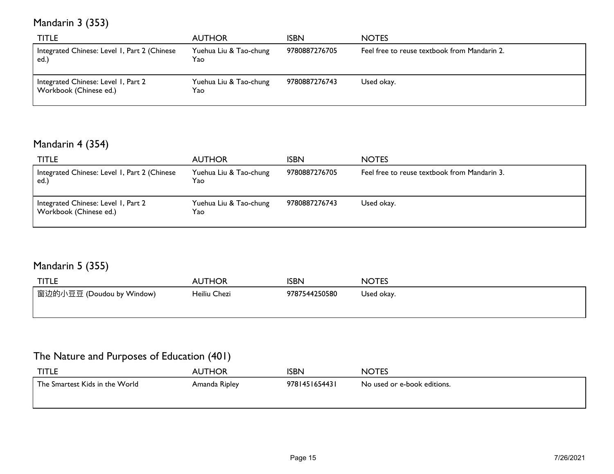# Mandarin 3 (353)

| <b>TITLE</b>                                                  | <b>AUTHOR</b>                 | ISBN          | <b>NOTES</b>                                 |
|---------------------------------------------------------------|-------------------------------|---------------|----------------------------------------------|
| Integrated Chinese: Level 1, Part 2 (Chinese<br>ed.           | Yuehua Liu & Tao-chung<br>Yao | 9780887276705 | Feel free to reuse textbook from Mandarin 2. |
| Integrated Chinese: Level 1, Part 2<br>Workbook (Chinese ed.) | Yuehua Liu & Tao-chung<br>Yao | 9780887276743 | Used okay.                                   |

#### Mandarin 4 (354)

| <b>TITLE</b>                                                  | <b>AUTHOR</b>                 | <b>ISBN</b>   | <b>NOTES</b>                                 |
|---------------------------------------------------------------|-------------------------------|---------------|----------------------------------------------|
| Integrated Chinese: Level 1, Part 2 (Chinese<br>ed.           | Yuehua Liu & Tao-chung<br>Yao | 9780887276705 | Feel free to reuse textbook from Mandarin 3. |
| Integrated Chinese: Level 1, Part 2<br>Workbook (Chinese ed.) | Yuehua Liu & Tao-chung<br>Yao | 9780887276743 | Used okay.                                   |

#### Mandarin 5 (355)

| <b>TITLE</b>                           | <b>AUTHOR</b> | <b>ISBN</b>   | <b>NOTES</b> |
|----------------------------------------|---------------|---------------|--------------|
| <sup>'</sup> 窗边的小豆豆 (Doudou by Window) | Heiliu Chezi  | 9787544250580 | Used okay.   |
|                                        |               |               |              |

#### The Nature and Purposes of Education (401)

| <b>TITLE</b>                   | <b>AUTHOR</b> | <b>ISBN</b>   | <b>NOTES</b>                |
|--------------------------------|---------------|---------------|-----------------------------|
| The Smartest Kids in the World | Amanda Ripley | 9781451654431 | No used or e-book editions. |
|                                |               |               |                             |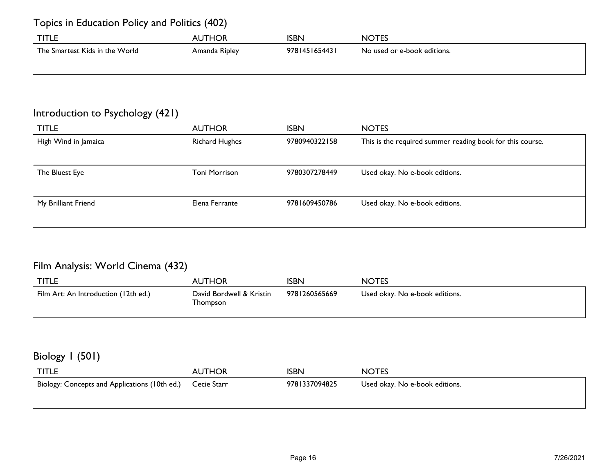#### Topics in Education Policy and Politics (402)

| <b>TITLE</b>                   | AUTHOR        | ISBN          | <b>NOTES</b>                |
|--------------------------------|---------------|---------------|-----------------------------|
| The Smartest Kids in the World | Amanda Ripley | 9781451654431 | No used or e-book editions. |
|                                |               |               |                             |

#### Introduction to Psychology (421)

| <b>TITLE</b>         | <b>AUTHOR</b>         | <b>ISBN</b>   | <b>NOTES</b>                                              |
|----------------------|-----------------------|---------------|-----------------------------------------------------------|
| High Wind in Jamaica | <b>Richard Hughes</b> | 9780940322158 | This is the required summer reading book for this course. |
|                      |                       |               |                                                           |
| The Bluest Eye       | <b>Toni Morrison</b>  | 9780307278449 | Used okay. No e-book editions.                            |
|                      |                       |               |                                                           |
| My Brilliant Friend  | Elena Ferrante        | 9781609450786 | Used okay. No e-book editions.                            |
|                      |                       |               |                                                           |
|                      |                       |               |                                                           |

#### Film Analysis: World Cinema (432)

| <b>TITLE</b>                         | <b>AUTHOR</b>                        | <b>ISBN</b>   | <b>NOTES</b>                   |
|--------------------------------------|--------------------------------------|---------------|--------------------------------|
| Film Art: An Introduction (12th ed.) | David Bordwell & Kristin<br>Thompson | 9781260565669 | Used okay. No e-book editions. |

#### Biology 1 (501)

| <b>TITLE</b>                                              | <b>AUTHOR</b> | ISBN          | <b>NOTES</b>                   |
|-----------------------------------------------------------|---------------|---------------|--------------------------------|
| Biology: Concepts and Applications (10th ed.) Cecie Starr |               | 9781337094825 | Used okay. No e-book editions. |
|                                                           |               |               |                                |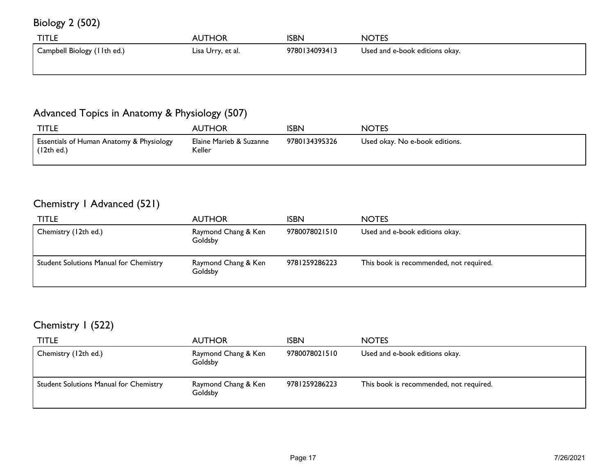Biology 2 (502)

| <b>TITLE</b>                | <b>AUTHOR</b>     | ISBN          | <b>NOTES</b>                   |
|-----------------------------|-------------------|---------------|--------------------------------|
| Campbell Biology (11th ed.) | Lisa Urry, et al. | 9780134093413 | Used and e-book editions okay. |
|                             |                   |               |                                |

#### Advanced Topics in Anatomy & Physiology (507)

| <b>TITLE</b>                                                      | <b>AUTHOR</b>                     | <b>ISBN</b>   | <b>NOTES</b>                   |
|-------------------------------------------------------------------|-----------------------------------|---------------|--------------------------------|
| <b>Essentials of Human Anatomy &amp; Physiology</b><br>(12th ed.) | Elaine Marieb & Suzanne<br>Keller | 9780134395326 | Used okay. No e-book editions. |

#### Chemistry 1 Advanced (521)

| <b>TITLE</b>                                  | <b>AUTHOR</b>                  | <b>ISBN</b>   | <b>NOTES</b>                            |
|-----------------------------------------------|--------------------------------|---------------|-----------------------------------------|
| Chemistry (12th ed.)                          | Raymond Chang & Ken<br>Goldsby | 9780078021510 | Used and e-book editions okay.          |
| <b>Student Solutions Manual for Chemistry</b> | Raymond Chang & Ken<br>Goldsby | 9781259286223 | This book is recommended, not required. |

#### Chemistry 1 (522)

| <b>TITLE</b>                           | <b>AUTHOR</b>                  | ISBN          | <b>NOTES</b>                            |
|----------------------------------------|--------------------------------|---------------|-----------------------------------------|
| Chemistry (12th ed.)                   | Raymond Chang & Ken<br>Goldsby | 9780078021510 | Used and e-book editions okay.          |
| Student Solutions Manual for Chemistry | Raymond Chang & Ken<br>Goldsby | 9781259286223 | This book is recommended, not required. |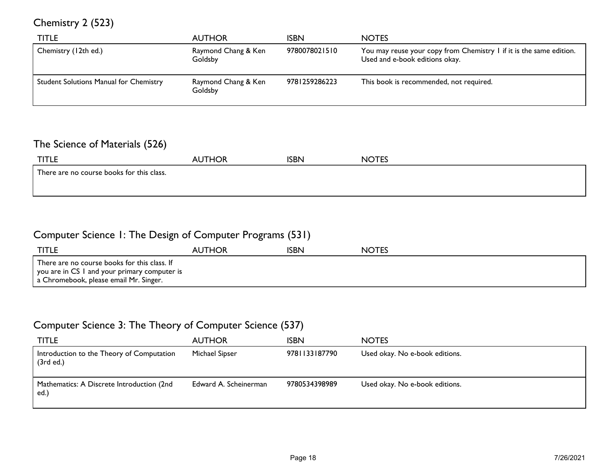#### Chemistry 2 (523)

| <b>TITLE</b>                                  | <b>AUTHOR</b>                  | ISBN          | <b>NOTES</b>                                                                                          |
|-----------------------------------------------|--------------------------------|---------------|-------------------------------------------------------------------------------------------------------|
| Chemistry (12th ed.)                          | Raymond Chang & Ken<br>Goldsby | 9780078021510 | You may reuse your copy from Chemistry I if it is the same edition.<br>Used and e-book editions okay. |
| <b>Student Solutions Manual for Chemistry</b> | Raymond Chang & Ken<br>Goldsby | 9781259286223 | This book is recommended, not required.                                                               |

#### The Science of Materials (526)

| <b>TITLE</b>                              | <b>AUTHOR</b> | <b>ISBN</b> | <b>NOTES</b> |  |  |
|-------------------------------------------|---------------|-------------|--------------|--|--|
| There are no course books for this class. |               |             |              |  |  |
|                                           |               |             |              |  |  |
|                                           |               |             |              |  |  |

#### Computer Science 1: The Design of Computer Programs (531)

| <b>TITLE</b>                                                                                                                           | <b>AUTHOR</b> | <b>ISBN</b> | <b>NOTES</b> |
|----------------------------------------------------------------------------------------------------------------------------------------|---------------|-------------|--------------|
| There are no course books for this class. If<br>you are in CS I and your primary computer is<br>a Chromebook, please email Mr. Singer. |               |             |              |

#### Computer Science 3: The Theory of Computer Science (537)

| <b>TITLE</b>                                           | <b>AUTHOR</b>         | <b>ISBN</b>   | <b>NOTES</b>                   |
|--------------------------------------------------------|-----------------------|---------------|--------------------------------|
| Introduction to the Theory of Computation<br>(3rd ed.) | Michael Sipser        | 9781133187790 | Used okay. No e-book editions. |
| Mathematics: A Discrete Introduction (2nd<br>ed.)      | Edward A. Scheinerman | 9780534398989 | Used okay. No e-book editions. |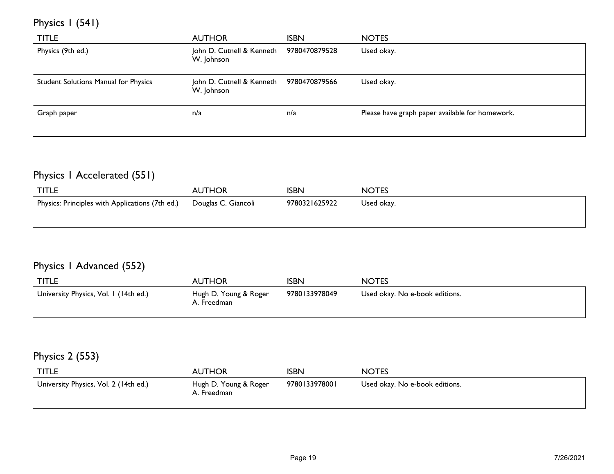# Physics 1 (541)

| <b>TITLE</b>                         | <b>AUTHOR</b>                                         | <b>ISBN</b> | <b>NOTES</b>                                    |
|--------------------------------------|-------------------------------------------------------|-------------|-------------------------------------------------|
| Physics (9th ed.)                    | John D. Cutnell & Kenneth 9780470879528<br>W. Johnson |             | Used okay.                                      |
| Student Solutions Manual for Physics | John D. Cutnell & Kenneth 9780470879566<br>W. Johnson |             | Used okay.                                      |
| Graph paper                          | n/a                                                   | n/a         | Please have graph paper available for homework. |

# Physics 1 Accelerated (551)

| <b>TITLE</b>                                    | <b>AUTHOR</b>       | ISBN          | <b>NOTES</b> |
|-------------------------------------------------|---------------------|---------------|--------------|
| Physics: Principles with Applications (7th ed.) | Douglas C. Giancoli | 9780321625922 | Used okay.   |
|                                                 |                     |               |              |

#### Physics 1 Advanced (552)

| <b>TITLE</b>                          | <b>AUTHOR</b>                        | <b>ISBN</b>   | <b>NOTES</b>                   |
|---------------------------------------|--------------------------------------|---------------|--------------------------------|
| University Physics, Vol. 1 (14th ed.) | Hugh D. Young & Roger<br>A. Freedman | 9780133978049 | Used okay. No e-book editions. |

#### Physics 2 (553)

| <b>TITLE</b>                          | <b>AUTHOR</b>                        | <b>ISBN</b>   | <b>NOTES</b>                   |
|---------------------------------------|--------------------------------------|---------------|--------------------------------|
| University Physics, Vol. 2 (14th ed.) | Hugh D. Young & Roger<br>A. Freedman | 9780133978001 | Used okay. No e-book editions. |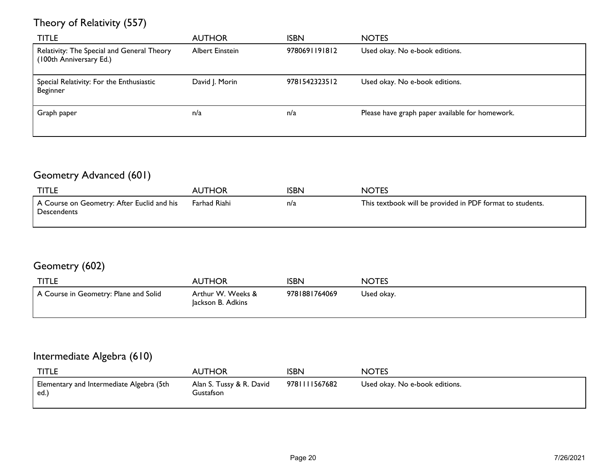#### Theory of Relativity (557)

| <b>TITLE</b>                                                          | <b>AUTHOR</b>   | <b>ISBN</b>   | <b>NOTES</b>                                    |
|-----------------------------------------------------------------------|-----------------|---------------|-------------------------------------------------|
| Relativity: The Special and General Theory<br>(100th Anniversary Ed.) | Albert Einstein | 9780691191812 | Used okay. No e-book editions.                  |
| Special Relativity: For the Enthusiastic<br>Beginner                  | David J. Morin  | 9781542323512 | Used okay. No e-book editions.                  |
| Graph paper                                                           | n/a             | n/a           | Please have graph paper available for homework. |

# Geometry Advanced (601)

| <b>TITLE</b>                                                | <b>AUTHOR</b> | ISBN | <b>NOTES</b>                                              |
|-------------------------------------------------------------|---------------|------|-----------------------------------------------------------|
| I A Course on Geometry: After Euclid and his<br>Descendents | Farhad Riahi  | n/a  | This textbook will be provided in PDF format to students. |

#### Geometry (602)

| <b>TITLE</b>                          | <b>AUTHOR</b>                          | <b>ISBN</b>   | <b>NOTES</b> |
|---------------------------------------|----------------------------------------|---------------|--------------|
| A Course in Geometry: Plane and Solid | Arthur W. Weeks &<br>lackson B. Adkins | 9781881764069 | Used okay.   |

#### Intermediate Algebra (610)

| <b>TITLE</b>                                     | <b>AUTHOR</b>                         | <b>ISBN</b>  | <b>NOTES</b>                   |
|--------------------------------------------------|---------------------------------------|--------------|--------------------------------|
| Elementary and Intermediate Algebra (5th<br>ed.) | Alan S. Tussy & R. David<br>Gustafson | 978111567682 | Used okay. No e-book editions. |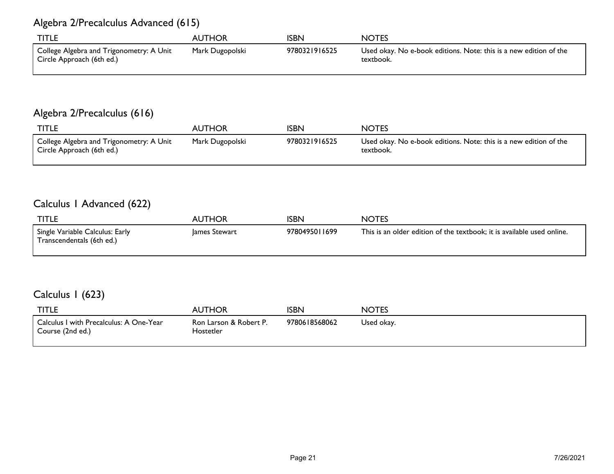#### Algebra 2/Precalculus Advanced (615)

| <b>TITLE</b>                                                          | <b>AUTHOR</b>   | ISBN          | <b>NOTES</b>                                                                   |
|-----------------------------------------------------------------------|-----------------|---------------|--------------------------------------------------------------------------------|
| College Algebra and Trigonometry: A Unit<br>Circle Approach (6th ed.) | Mark Dugopolski | 9780321916525 | Used okay. No e-book editions. Note: this is a new edition of the<br>textbook. |

#### Algebra 2/Precalculus (616)

| <b>TITLE</b>                                                          | <b>AUTHOR</b>   | ISBN          | <b>NOTES</b>                                                                   |
|-----------------------------------------------------------------------|-----------------|---------------|--------------------------------------------------------------------------------|
| College Algebra and Trigonometry: A Unit<br>Circle Approach (6th ed.) | Mark Dugopolski | 9780321916525 | Used okay. No e-book editions. Note: this is a new edition of the<br>textbook. |

#### Calculus 1 Advanced (622)

| <b>TITLE</b>                                                 | AUTHOR        | ISBN          | <b>NOTES</b>                                                           |
|--------------------------------------------------------------|---------------|---------------|------------------------------------------------------------------------|
| Single Variable Calculus: Early<br>Transcendentals (6th ed.) | lames Stewart | 9780495011699 | This is an older edition of the textbook; it is available used online. |

#### Calculus 1 (623)

| <b>TITLE</b>                                                | AUTHOR                              | <b>ISBN</b>   | <b>NOTES</b> |
|-------------------------------------------------------------|-------------------------------------|---------------|--------------|
| Calculus I with Precalculus: A One-Year<br>Course (2nd ed.) | Ron Larson & Robert P.<br>Hostetler | 9780618568062 | Used okay.   |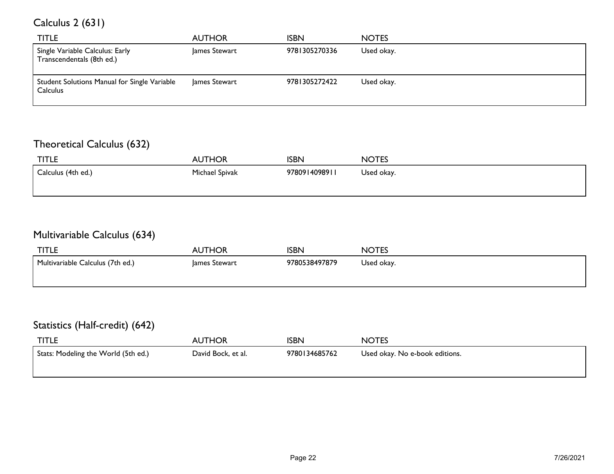# Calculus 2 (631)

| <b>TITLE</b>                                                    | <b>AUTHOR</b> | <b>ISBN</b>   | <b>NOTES</b> |
|-----------------------------------------------------------------|---------------|---------------|--------------|
| Single Variable Calculus: Early<br>Transcendentals (8th ed.)    | James Stewart | 9781305270336 | Used okay.   |
| Student Solutions Manual for Single Variable<br><b>Calculus</b> | James Stewart | 9781305272422 | Used okay.   |

#### Theoretical Calculus (632)

| <b>TITLE</b>       | <b>AUTHOR</b>  | <b>ISBN</b>   | <b>NOTES</b> |
|--------------------|----------------|---------------|--------------|
| Calculus (4th ed.) | Michael Spivak | 9780914098911 | Used okay.   |
|                    |                |               |              |

#### Multivariable Calculus (634)

| <b>TITLE</b>                     | <b>AUTHOR</b> | <b>ISBN</b>   | <b>NOTES</b> |
|----------------------------------|---------------|---------------|--------------|
| Multivariable Calculus (7th ed.) | James Stewart | 9780538497879 | Used okay.   |
|                                  |               |               |              |

#### Statistics (Half-credit) (642)

| <b>TITLE</b>                        | <b>AUTHOR</b>      | ISBN          | <b>NOTES</b>                   |
|-------------------------------------|--------------------|---------------|--------------------------------|
| Stats: Modeling the World (5th ed.) | David Bock, et al. | 9780134685762 | Used okay. No e-book editions. |
|                                     |                    |               |                                |